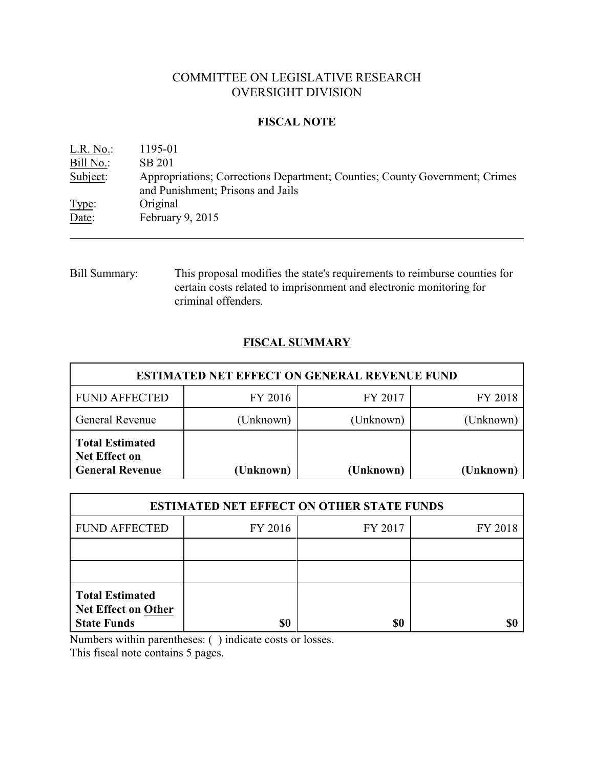# COMMITTEE ON LEGISLATIVE RESEARCH OVERSIGHT DIVISION

### **FISCAL NOTE**

| $L.R. No.$ : | 1195-01                                                                                                          |
|--------------|------------------------------------------------------------------------------------------------------------------|
| Bill No.:    | SB 201                                                                                                           |
| Subject:     | Appropriations; Corrections Department; Counties; County Government; Crimes<br>and Punishment; Prisons and Jails |
| Type:        | Original                                                                                                         |
| Date:        | February 9, $2015$                                                                                               |

Bill Summary: This proposal modifies the state's requirements to reimburse counties for certain costs related to imprisonment and electronic monitoring for criminal offenders.

## **FISCAL SUMMARY**

| <b>ESTIMATED NET EFFECT ON GENERAL REVENUE FUND</b>                      |           |           |           |  |  |
|--------------------------------------------------------------------------|-----------|-----------|-----------|--|--|
| <b>FUND AFFECTED</b>                                                     | FY 2016   | FY 2017   | FY 2018   |  |  |
| <b>General Revenue</b>                                                   | (Unknown) | (Unknown) | (Unknown) |  |  |
| <b>Total Estimated</b><br><b>Net Effect on</b><br><b>General Revenue</b> | (Unknown) | (Unknown) | (Unknown) |  |  |

| <b>ESTIMATED NET EFFECT ON OTHER STATE FUNDS</b>                           |         |         |         |  |  |
|----------------------------------------------------------------------------|---------|---------|---------|--|--|
| <b>FUND AFFECTED</b>                                                       | FY 2016 | FY 2017 | FY 2018 |  |  |
|                                                                            |         |         |         |  |  |
|                                                                            |         |         |         |  |  |
| <b>Total Estimated</b><br><b>Net Effect on Other</b><br><b>State Funds</b> |         | \$0     |         |  |  |

Numbers within parentheses: ( ) indicate costs or losses.

This fiscal note contains 5 pages.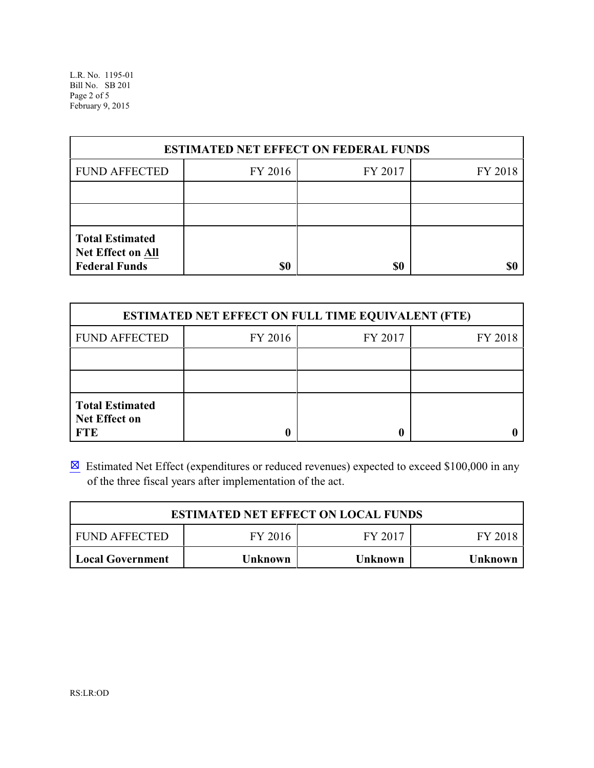L.R. No. 1195-01 Bill No. SB 201 Page 2 of 5 February 9, 2015

| <b>ESTIMATED NET EFFECT ON FEDERAL FUNDS</b>                        |         |         |         |  |  |
|---------------------------------------------------------------------|---------|---------|---------|--|--|
| <b>FUND AFFECTED</b>                                                | FY 2016 | FY 2017 | FY 2018 |  |  |
|                                                                     |         |         |         |  |  |
|                                                                     |         |         |         |  |  |
| <b>Total Estimated</b><br>Net Effect on All<br><b>Federal Funds</b> | \$0     | \$0     |         |  |  |

| <b>ESTIMATED NET EFFECT ON FULL TIME EQUIVALENT (FTE)</b>    |         |         |         |  |  |
|--------------------------------------------------------------|---------|---------|---------|--|--|
| <b>FUND AFFECTED</b>                                         | FY 2016 | FY 2017 | FY 2018 |  |  |
|                                                              |         |         |         |  |  |
|                                                              |         |         |         |  |  |
| <b>Total Estimated</b><br><b>Net Effect on</b><br><b>FTE</b> |         |         |         |  |  |

**Estimated Net Effect (expenditures or reduced revenues) expected to exceed \$100,000 in any** of the three fiscal years after implementation of the act.

| <b>ESTIMATED NET EFFECT ON LOCAL FUNDS</b>        |  |  |  |  |  |
|---------------------------------------------------|--|--|--|--|--|
| FY 2016<br>I FUND AFFECTED<br>FY 2017<br>FY 2018  |  |  |  |  |  |
| Local Government<br>Unknown<br>Unknown<br>Unknown |  |  |  |  |  |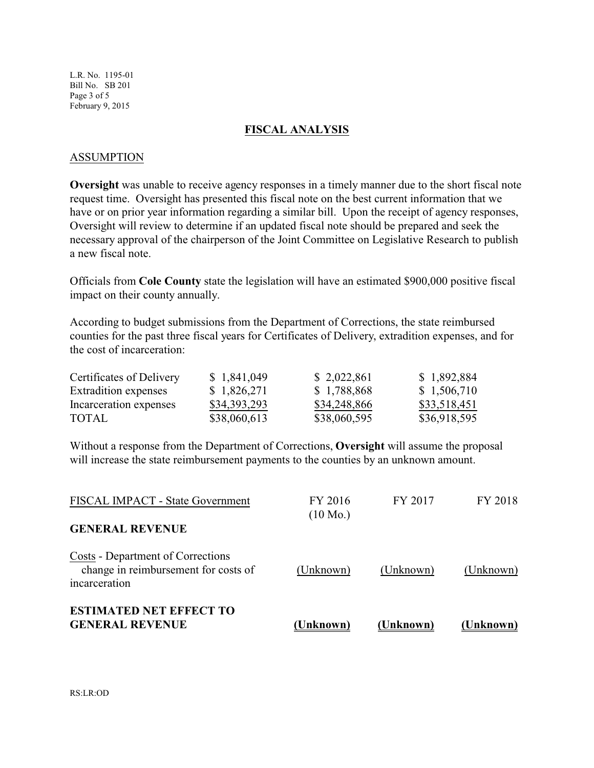L.R. No. 1195-01 Bill No. SB 201 Page 3 of 5 February 9, 2015

#### **FISCAL ANALYSIS**

#### ASSUMPTION

**Oversight** was unable to receive agency responses in a timely manner due to the short fiscal note request time. Oversight has presented this fiscal note on the best current information that we have or on prior year information regarding a similar bill. Upon the receipt of agency responses, Oversight will review to determine if an updated fiscal note should be prepared and seek the necessary approval of the chairperson of the Joint Committee on Legislative Research to publish a new fiscal note.

Officials from **Cole County** state the legislation will have an estimated \$900,000 positive fiscal impact on their county annually.

According to budget submissions from the Department of Corrections, the state reimbursed counties for the past three fiscal years for Certificates of Delivery, extradition expenses, and for the cost of incarceration:

| Certificates of Delivery | \$ 1,841,049 | \$2,022,861  | \$1,892,884  |
|--------------------------|--------------|--------------|--------------|
| Extradition expenses     | \$1,826,271  | \$1,788,868  | \$1,506,710  |
| Incarceration expenses   | \$34,393,293 | \$34,248,866 | \$33,518,451 |
| <b>TOTAL</b>             | \$38,060,613 | \$38,060,595 | \$36,918,595 |

Without a response from the Department of Corrections, **Oversight** will assume the proposal will increase the state reimbursement payments to the counties by an unknown amount.

| <b>ESTIMATED NET EFFECT TO</b><br><b>GENERAL REVENUE</b>                                   | (Unknown)          | (Unknown) | (Unknown) |
|--------------------------------------------------------------------------------------------|--------------------|-----------|-----------|
| Costs - Department of Corrections<br>change in reimbursement for costs of<br>incarceration | (Unknown)          | (Unknown) | (Unknown) |
| <b>GENERAL REVENUE</b>                                                                     | $(10 \text{ Mo.})$ |           |           |
| FISCAL IMPACT - State Government                                                           | FY 2016            | FY 2017   | FY 2018   |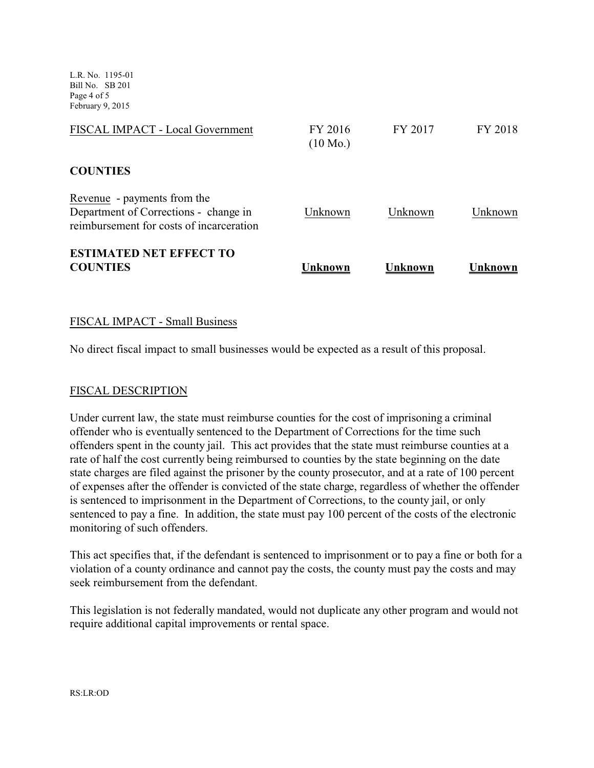L.R. No. 1195-01 Bill No. SB 201 Page 4 of 5 February 9, 2015

| Unknown                       | Unknown | Unknown |
|-------------------------------|---------|---------|
| Unknown                       | Unknown | Unknown |
|                               |         |         |
| FY 2016<br>$(10 \text{ Mo.})$ | FY 2017 | FY 2018 |
|                               |         |         |

### FISCAL IMPACT - Small Business

No direct fiscal impact to small businesses would be expected as a result of this proposal.

#### FISCAL DESCRIPTION

Under current law, the state must reimburse counties for the cost of imprisoning a criminal offender who is eventually sentenced to the Department of Corrections for the time such offenders spent in the county jail. This act provides that the state must reimburse counties at a rate of half the cost currently being reimbursed to counties by the state beginning on the date state charges are filed against the prisoner by the county prosecutor, and at a rate of 100 percent of expenses after the offender is convicted of the state charge, regardless of whether the offender is sentenced to imprisonment in the Department of Corrections, to the county jail, or only sentenced to pay a fine. In addition, the state must pay 100 percent of the costs of the electronic monitoring of such offenders.

This act specifies that, if the defendant is sentenced to imprisonment or to pay a fine or both for a violation of a county ordinance and cannot pay the costs, the county must pay the costs and may seek reimbursement from the defendant.

This legislation is not federally mandated, would not duplicate any other program and would not require additional capital improvements or rental space.